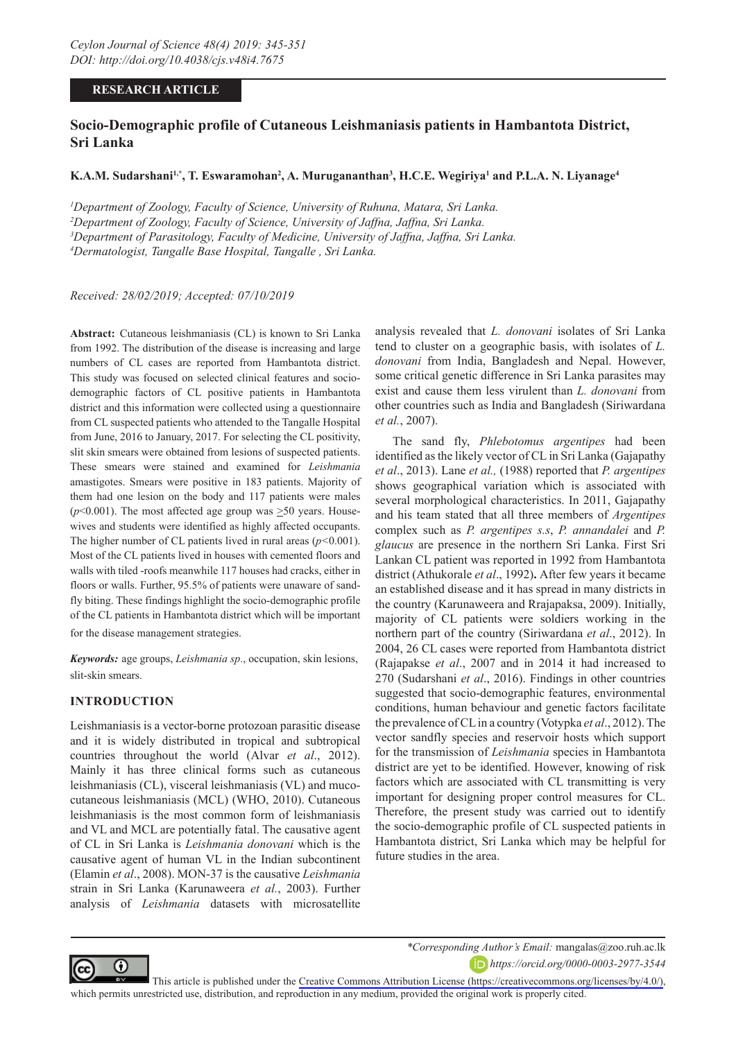## **RESEARCH ARTICLE**

# **Socio-Demographic profile of Cutaneous Leishmaniasis patients in Hambantota District, Sri Lanka**

## $\mathbf{K.A.M.}$  Sudarshani<sup>1,\*</sup>, T. Eswaramohan<sup>2</sup>, A. Murugananthan<sup>3</sup>, H.C.E. Wegiriya<sup>1</sup> and P.L.A. N. Liyanage<sup>4</sup>

 *Department of Zoology, Faculty of Science, University of Ruhuna, Matara, Sri Lanka. Department of Zoology, Faculty of Science, University of Jaffna, Jaffna, Sri Lanka. Department of Parasitology, Faculty of Medicine, University of Jaffna, Jaffna, Sri Lanka. Dermatologist, Tangalle Base Hospital, Tangalle , Sri Lanka.*

*Received: 28/02/2019; Accepted: 07/10/2019*

**Abstract:** Cutaneous leishmaniasis (CL) is known to Sri Lanka from 1992. The distribution of the disease is increasing and large numbers of CL cases are reported from Hambantota district. This study was focused on selected clinical features and sociodemographic factors of CL positive patients in Hambantota district and this information were collected using a questionnaire from CL suspected patients who attended to the Tangalle Hospital from June, 2016 to January, 2017. For selecting the CL positivity, slit skin smears were obtained from lesions of suspected patients. These smears were stained and examined for *Leishmania*  amastigotes. Smears were positive in 183 patients. Majority of them had one lesion on the body and 117 patients were males ( $p$ <0.001). The most affected age group was  $\geq$ 50 years. Housewives and students were identified as highly affected occupants. The higher number of CL patients lived in rural areas (*p<*0.001). Most of the CL patients lived in houses with cemented floors and walls with tiled -roofs meanwhile 117 houses had cracks, either in floors or walls. Further, 95.5% of patients were unaware of sandfly biting. These findings highlight the socio-demographic profile of the CL patients in Hambantota district which will be important for the disease management strategies.

*Keywords:* age groups, *Leishmania sp*., occupation, skin lesions, slit-skin smears.

### **INTRODUCTION**

Leishmaniasis is a vector-borne protozoan parasitic disease and it is widely distributed in tropical and subtropical countries throughout the world (Alvar *et al*., 2012). Mainly it has three clinical forms such as cutaneous leishmaniasis (CL), visceral leishmaniasis (VL) and mucocutaneous leishmaniasis (MCL) (WHO, 2010). Cutaneous leishmaniasis is the most common form of leishmaniasis and VL and MCL are potentially fatal. The causative agent of CL in Sri Lanka is *Leishmania donovani* which is the causative agent of human VL in the Indian subcontinent (Elamin *et al*., 2008). MON-37 is the causative *Leishmania* strain in Sri Lanka (Karunaweera *et al.*, 2003). Further analysis of *Leishmania* datasets with microsatellite

analysis revealed that *L. donovani* isolates of Sri Lanka tend to cluster on a geographic basis, with isolates of *L. donovani* from India, Bangladesh and Nepal. However, some critical genetic difference in Sri Lanka parasites may exist and cause them less virulent than *L. donovani* from other countries such as India and Bangladesh (Siriwardana *et al.*, 2007).

The sand fly, *Phlebotomus argentipes* had been identified as the likely vector of CL in Sri Lanka (Gajapathy *et al*., 2013). Lane *et al.,* (1988) reported that *P. argentipes* shows geographical variation which is associated with several morphological characteristics. In 2011, Gajapathy and his team stated that all three members of *Argentipes* complex such as *P. argentipes s.s*, *P. annandalei* and *P. glaucus* are presence in the northern Sri Lanka. First Sri Lankan CL patient was reported in 1992 from Hambantota district (Athukorale *et al*., 1992)**.** After few years it became an established disease and it has spread in many districts in the country (Karunaweera and Rrajapaksa, 2009). Initially, majority of CL patients were soldiers working in the northern part of the country (Siriwardana *et al*., 2012). In 2004, 26 CL cases were reported from Hambantota district (Rajapakse *et al*., 2007 and in 2014 it had increased to 270 (Sudarshani *et al*., 2016). Findings in other countries suggested that socio-demographic features, environmental conditions, human behaviour and genetic factors facilitate the prevalence of CL in a country (Votypka *et al*., 2012). The vector sandfly species and reservoir hosts which support for the transmission of *Leishmania* species in Hambantota district are yet to be identified. However, knowing of risk factors which are associated with CL transmitting is very important for designing proper control measures for CL. Therefore, the present study was carried out to identify the socio-demographic profile of CL suspected patients in Hambantota district, Sri Lanka which may be helpful for future studies in the area.



*\*Corresponding Author's Email:* mangalas@zoo.ruh.ac.lk

*https://orcid.org/0000-0003-2977-3544*

This article is published under the [Creative Commons Attribution License \(https://creativecommons.org/licenses/by/4.0/\)](https://creativecommons.org/licenses/by/4.0/), which permits unrestricted use, distribution, and reproduction in any medium, provided the original work is properly cited.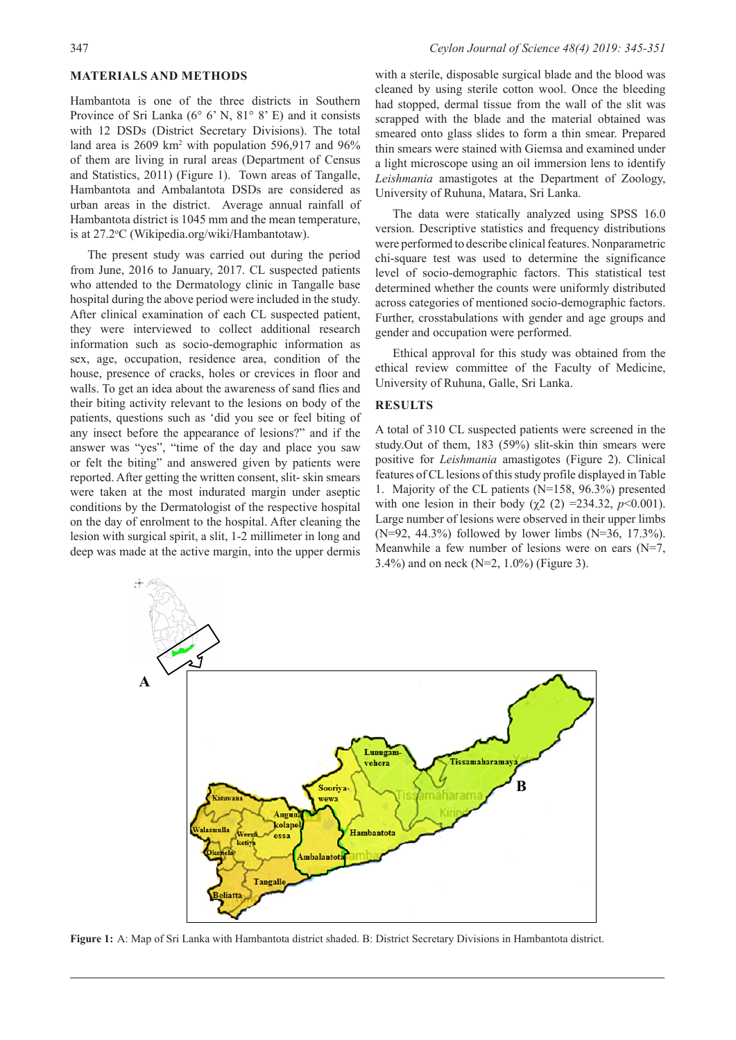### **MATERIALS AND METHODS**

Hambantota is one of the three districts in Southern Province of Sri Lanka (6° 6' N, 81° 8' E) and it consists with 12 DSDs (District Secretary Divisions). The total land area is 2609 km<sup>2</sup> with population 596,917 and 96% of them are living in rural areas (Department of Census and Statistics, 2011) (Figure 1). Town areas of Tangalle, Hambantota and Ambalantota DSDs are considered as urban areas in the district. Average annual rainfall of Hambantota district is 1045 mm and the mean temperature, is at 27.2°C (Wikipedia.org/wiki/Hambantotaw).

The present study was carried out during the period from June, 2016 to January, 2017. CL suspected patients who attended to the Dermatology clinic in Tangalle base hospital during the above period were included in the study. After clinical examination of each CL suspected patient, they were interviewed to collect additional research information such as socio-demographic information as sex, age, occupation, residence area, condition of the house, presence of cracks, holes or crevices in floor and walls. To get an idea about the awareness of sand flies and their biting activity relevant to the lesions on body of the patients, questions such as 'did you see or feel biting of any insect before the appearance of lesions?" and if the answer was "yes", "time of the day and place you saw or felt the biting" and answered given by patients were reported. After getting the written consent, slit- skin smears were taken at the most indurated margin under aseptic conditions by the Dermatologist of the respective hospital on the day of enrolment to the hospital. After cleaning the lesion with surgical spirit, a slit, 1-2 millimeter in long and deep was made at the active margin, into the upper dermis with a sterile, disposable surgical blade and the blood was cleaned by using sterile cotton wool. Once the bleeding had stopped, dermal tissue from the wall of the slit was scrapped with the blade and the material obtained was smeared onto glass slides to form a thin smear. Prepared thin smears were stained with Giemsa and examined under a light microscope using an oil immersion lens to identify *Leishmania* amastigotes at the Department of Zoology, University of Ruhuna, Matara, Sri Lanka.

The data were statically analyzed using SPSS 16.0 version. Descriptive statistics and frequency distributions were performed to describe clinical features. Nonparametric chi-square test was used to determine the significance level of socio-demographic factors. This statistical test determined whether the counts were uniformly distributed across categories of mentioned socio-demographic factors. Further, crosstabulations with gender and age groups and gender and occupation were performed.

Ethical approval for this study was obtained from the ethical review committee of the Faculty of Medicine, University of Ruhuna, Galle, Sri Lanka.

#### **RESULTS**

A total of 310 CL suspected patients were screened in the study.Out of them, 183 (59%) slit-skin thin smears were positive for *Leishmania* amastigotes (Figure 2). Clinical features of CL lesions of this study profile displayed in Table 1. Majority of the CL patients (N=158, 96.3%) presented with one lesion in their body ( $\chi$ 2 (2) = 234.32, *p*<0.001). Large number of lesions were observed in their upper limbs (N=92, 44.3%) followed by lower limbs (N=36, 17.3%). Meanwhile a few number of lesions were on ears (N=7, 3.4%) and on neck (N=2, 1.0%) (Figure 3).



**Figure 1:** A: Map of Sri Lanka with Hambantota district shaded. B: District Secretary Divisions in Hambantota district.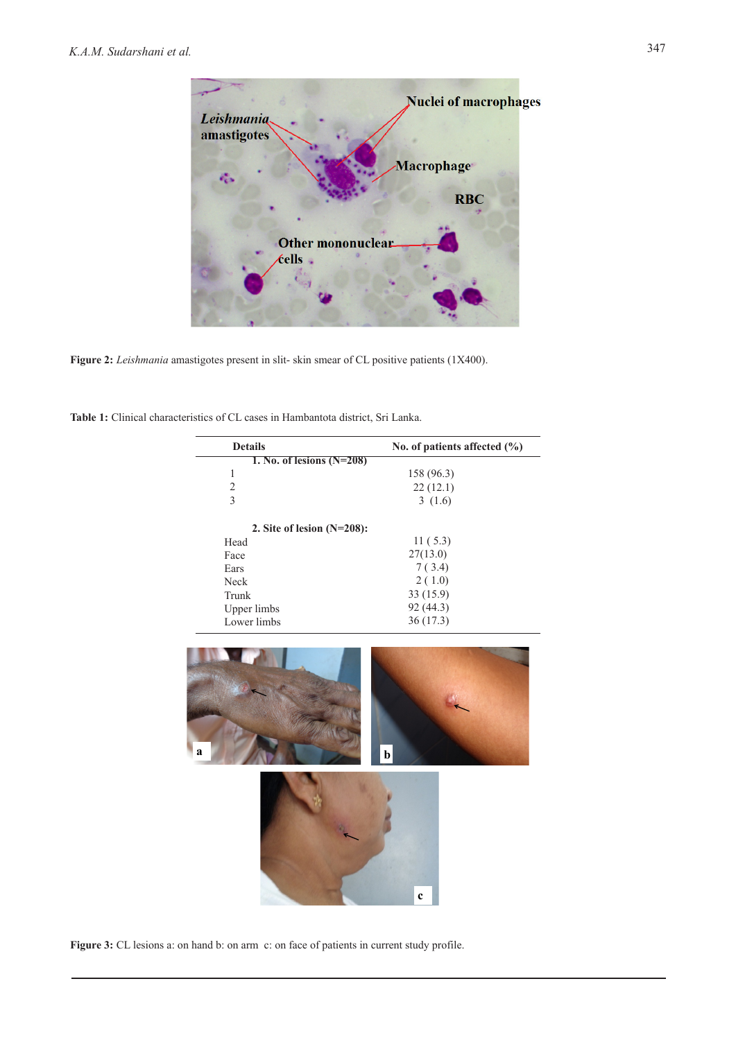

**Figure 2:** *Leishmania* amastigotes present in slit- skin smear of CL positive patients (1X400).

**Table 1:** Clinical characteristics of CL cases in Hambantota district, Sri Lanka.

| <b>Details</b>                | No. of patients affected $(\% )$ |
|-------------------------------|----------------------------------|
| 1. No. of lesions $(N=208)$   |                                  |
| 1                             | 158 (96.3)                       |
| $\mathfrak{D}$                | 22(12.1)                         |
| 3                             | 3(1.6)                           |
| 2. Site of lesion $(N=208)$ : |                                  |
| Head                          | 11(5.3)                          |
| Face                          | 27(13.0)                         |
| Ears                          | 7(3.4)                           |
| <b>Neck</b>                   | 2(1.0)                           |
| Trunk                         | 33(15.9)                         |
| Upper limbs                   | 92 (44.3)                        |
| Lower limbs                   | 36(17.3)                         |



Figure 3: CL lesions a: on hand b: on arm c: on face of patients in current study profile.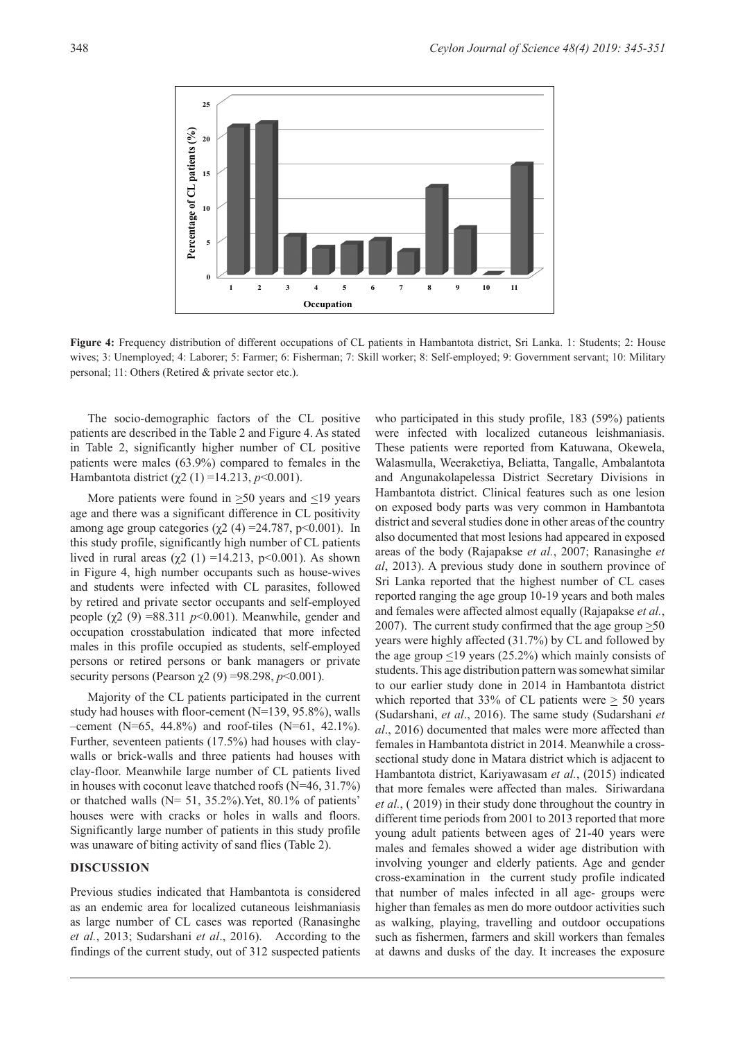

**Figure 4:** Frequency distribution of different occupations of CL patients in Hambantota district, Sri Lanka. 1: Students; 2: House wives; 3: Unemployed; 4: Laborer; 5: Farmer; 6: Fisherman; 7: Skill worker; 8: Self-employed; 9: Government servant; 10: Military personal; 11: Others (Retired & private sector etc.).

The socio-demographic factors of the CL positive patients are described in the Table 2 and Figure 4. As stated in Table 2, significantly higher number of CL positive patients were males (63.9%) compared to females in the Hambantota district (χ2 (1) =14.213,  $p$ <0.001).

More patients were found in  $>50$  years and  $<19$  years age and there was a significant difference in CL positivity among age group categories ( $\chi$ 2 (4) = 24.787, p < 0.001). In this study profile, significantly high number of CL patients lived in rural areas (χ2 (1) =14.213, p<0.001). As shown in Figure 4, high number occupants such as house-wives and students were infected with CL parasites, followed by retired and private sector occupants and self-employed people ( $χ$ 2 (9) =88.311 *p*<0.001). Meanwhile, gender and occupation crosstabulation indicated that more infected males in this profile occupied as students, self-employed persons or retired persons or bank managers or private security persons (Pearson  $\chi$ 2 (9) =98.298, *p*<0.001).

Majority of the CL patients participated in the current study had houses with floor-cement (N=139, 95.8%), walls –cement (N=65, 44.8%) and roof-tiles (N=61, 42.1%). Further, seventeen patients (17.5%) had houses with claywalls or brick-walls and three patients had houses with clay-floor. Meanwhile large number of CL patients lived in houses with coconut leave thatched roofs (N=46, 31.7%) or thatched walls  $(N= 51, 35.2\%)$ . Yet, 80.1% of patients' houses were with cracks or holes in walls and floors. Significantly large number of patients in this study profile was unaware of biting activity of sand flies (Table 2).

## **DISCUSSION**

Previous studies indicated that Hambantota is considered as an endemic area for localized cutaneous leishmaniasis as large number of CL cases was reported (Ranasinghe *et al.*, 2013; Sudarshani *et al*., 2016). According to the findings of the current study, out of 312 suspected patients

who participated in this study profile, 183 (59%) patients were infected with localized cutaneous leishmaniasis. These patients were reported from Katuwana, Okewela, Walasmulla, Weeraketiya, Beliatta, Tangalle, Ambalantota and Angunakolapelessa District Secretary Divisions in Hambantota district. Clinical features such as one lesion on exposed body parts was very common in Hambantota district and several studies done in other areas of the country also documented that most lesions had appeared in exposed areas of the body (Rajapakse *et al.*, 2007; Ranasinghe *et al*, 2013). A previous study done in southern province of Sri Lanka reported that the highest number of CL cases reported ranging the age group 10-19 years and both males and females were affected almost equally (Rajapakse *et al.*, 2007). The current study confirmed that the age group  $\geq 50$ years were highly affected (31.7%) by CL and followed by the age group  $\leq$ 19 years (25.2%) which mainly consists of students. This age distribution pattern was somewhat similar to our earlier study done in 2014 in Hambantota district which reported that  $33\%$  of CL patients were  $> 50$  years (Sudarshani, *et al*., 2016). The same study (Sudarshani *et al*., 2016) documented that males were more affected than females in Hambantota district in 2014. Meanwhile a crosssectional study done in Matara district which is adjacent to Hambantota district, Kariyawasam *et al.*, (2015) indicated that more females were affected than males. Siriwardana *et al.*, ( 2019) in their study done throughout the country in different time periods from 2001 to 2013 reported that more young adult patients between ages of 21-40 years were males and females showed a wider age distribution with involving younger and elderly patients. Age and gender cross-examination in the current study profile indicated that number of males infected in all age- groups were higher than females as men do more outdoor activities such as walking, playing, travelling and outdoor occupations such as fishermen, farmers and skill workers than females at dawns and dusks of the day. It increases the exposure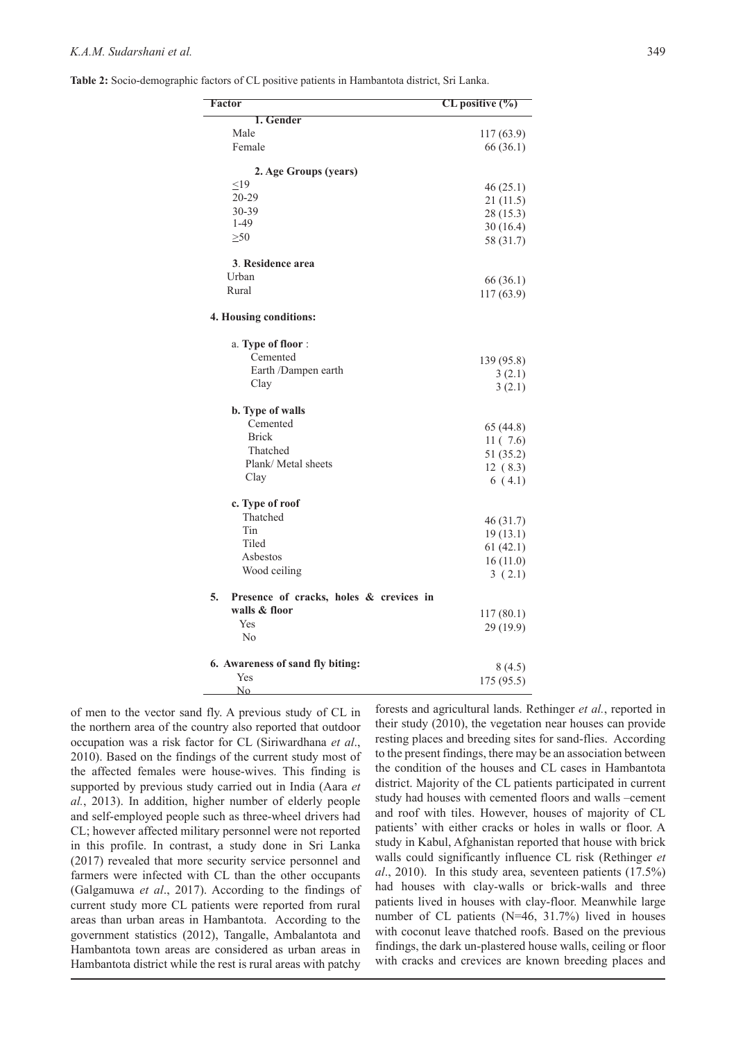| Factor                                        | $CL$ positive $(\%)$ |
|-----------------------------------------------|----------------------|
| 1. Gender                                     |                      |
| Male                                          | 117 (63.9)           |
| Female                                        | 66 (36.1)            |
| 2. Age Groups (years)                         |                      |
| $\leq19$                                      | 46(25.1)             |
| 20-29                                         | 21(11.5)             |
| 30-39                                         | 28 (15.3)            |
| $1 - 49$                                      | 30(16.4)             |
| >50                                           | 58 (31.7)            |
| 3. Residence area                             |                      |
| Urban                                         | 66 (36.1)            |
| Rural                                         | 117 (63.9)           |
| 4. Housing conditions:                        |                      |
| a. Type of floor:                             |                      |
| Cemented                                      | 139 (95.8)           |
| Earth /Dampen earth                           | 3(2.1)               |
| Clay                                          | 3(2.1)               |
| b. Type of walls                              |                      |
| Cemented                                      | 65 (44.8)            |
| <b>Brick</b>                                  | 11(7.6)              |
| Thatched                                      | 51 (35.2)            |
| Plank/ Metal sheets                           | 12(8.3)              |
| Clay                                          | 6(4.1)               |
| c. Type of roof                               |                      |
| Thatched                                      | 46 (31.7)            |
| Tin                                           | 19(13.1)             |
| Tiled                                         | 61(42.1)             |
| Asbestos                                      | 16(11.0)             |
| Wood ceiling                                  | 3(2.1)               |
| 5.<br>Presence of cracks, holes & crevices in |                      |
| walls & floor                                 |                      |
| Yes                                           | 117(80.1)            |
| No                                            | 29 (19.9)            |
| 6. Awareness of sand fly biting:              |                      |
| Yes                                           | 8(4.5)               |
| No                                            | 175 (95.5)           |

of men to the vector sand fly. A previous study of CL in the northern area of the country also reported that outdoor occupation was a risk factor for CL (Siriwardhana *et al*., 2010). Based on the findings of the current study most of the affected females were house-wives. This finding is supported by previous study carried out in India (Aara *et al.*, 2013). In addition, higher number of elderly people and self-employed people such as three-wheel drivers had CL; however affected military personnel were not reported in this profile. In contrast, a study done in Sri Lanka (2017) revealed that more security service personnel and farmers were infected with CL than the other occupants (Galgamuwa *et al*., 2017). According to the findings of current study more CL patients were reported from rural areas than urban areas in Hambantota. According to the government statistics (2012), Tangalle, Ambalantota and Hambantota town areas are considered as urban areas in Hambantota district while the rest is rural areas with patchy

forests and agricultural lands. Rethinger *et al.*, reported in their study (2010), the vegetation near houses can provide resting places and breeding sites for sand-flies. According to the present findings, there may be an association between the condition of the houses and CL cases in Hambantota district. Majority of the CL patients participated in current study had houses with cemented floors and walls –cement and roof with tiles. However, houses of majority of CL patients' with either cracks or holes in walls or floor. A study in Kabul, Afghanistan reported that house with brick walls could significantly influence CL risk (Rethinger *et al*., 2010). In this study area, seventeen patients (17.5%) had houses with clay-walls or brick-walls and three patients lived in houses with clay-floor. Meanwhile large number of CL patients (N=46, 31.7%) lived in houses with coconut leave thatched roofs. Based on the previous findings, the dark un-plastered house walls, ceiling or floor with cracks and crevices are known breeding places and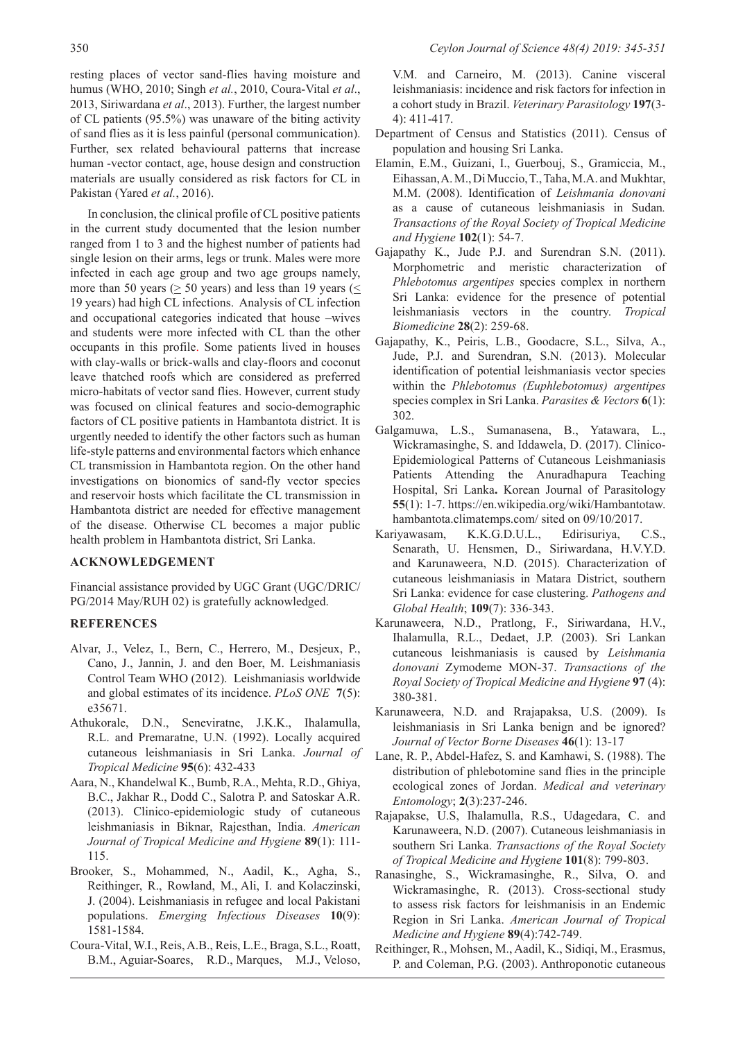resting places of vector sand-flies having moisture and humus (WHO, 2010; Singh *et al.*, 2010, Coura-Vital *et al*., 2013, Siriwardana *et al*., 2013). Further, the largest number of CL patients (95.5%) was unaware of the biting activity of sand flies as it is less painful (personal communication). Further, sex related behavioural patterns that increase human -vector contact, age, house design and construction materials are usually considered as risk factors for CL in Pakistan (Yared *et al.*, 2016).

In conclusion, the clinical profile of CL positive patients in the current study documented that the lesion number ranged from 1 to 3 and the highest number of patients had single lesion on their arms, legs or trunk. Males were more infected in each age group and two age groups namely, more than 50 years ( $> 50$  years) and less than 19 years ( $<$ 19 years) had high CL infections. Analysis of CL infection and occupational categories indicated that house –wives and students were more infected with CL than the other occupants in this profile. Some patients lived in houses with clay-walls or brick-walls and clay-floors and coconut leave thatched roofs which are considered as preferred micro-habitats of vector sand flies. However, current study was focused on clinical features and socio-demographic factors of CL positive patients in Hambantota district. It is urgently needed to identify the other factors such as human life-style patterns and environmental factors which enhance CL transmission in Hambantota region. On the other hand investigations on bionomics of sand-fly vector species and reservoir hosts which facilitate the CL transmission in Hambantota district are needed for effective management of the disease. Otherwise CL becomes a major public health problem in Hambantota district, Sri Lanka.

## **ACKNOWLEDGEMENT**

Financial assistance provided by UGC Grant (UGC/DRIC/ PG/2014 May/RUH 02) is gratefully acknowledged.

#### **REFERENCES**

- Alvar, J., Velez, I., Bern, C., Herrero, M., Desjeux, P., Cano, J., Jannin, J. and den Boer, M. Leishmaniasis Control Team WHO (2012). Leishmaniasis worldwide and global estimates of its incidence. *PLoS ONE* **7**(5): e35671.
- Athukorale, D.N., Seneviratne, J.K.K., Ihalamulla, R.L. and Premaratne, U.N. (1992). Locally acquired cutaneous leishmaniasis in Sri Lanka. *Journal of Tropical Medicine* **95**(6): 432-433
- Aara, N., Khandelwal K., Bumb, R.A., Mehta, R.D., Ghiya, B.C., Jakhar R., Dodd C., Salotra P. and Satoskar A.R. (2013). Clinico-epidemiologic study of cutaneous leishmaniasis in Biknar, Rajesthan, India. *American Journal of Tropical Medicine and Hygiene* **89**(1): 111- 115.
- Brooker, S., Mohammed, N., Aadil, K., Agha, S., Reithinger, R., Rowland, M., Ali, I. and Kolaczinski, J. (2004). Leishmaniasis in refugee and local Pakistani populations. *Emerging Infectious Diseases* **10**(9): 1581-1584.
- Coura-Vital, W.I., Reis, A.B., Reis, L.E., Braga, S.L., Roatt, B.M., Aguiar-Soares, R.D., Marques, M.J., Veloso,

V.M. and Carneiro, M. (2013). Canine visceral leishmaniasis: incidence and risk factors for infection in a cohort study in Brazil. *Veterinary Parasitology* **197**(3- 4): 411-417.

- Department of Census and Statistics (2011). Census of population and housing Sri Lanka.
- Elamin, E.M., Guizani, I., Guerbouj, S., Gramiccia, M., Eihassan, A. M., Di Muccio, T., Taha, M.A. and Mukhtar, M.M. (2008). Identification of *Leishmania donovani* as a cause of cutaneous leishmaniasis in Sudan*. Transactions of the Royal Society of Tropical Medicine and Hygiene* **102**(1): 54-7.
- Gajapathy K., Jude P.J. and Surendran S.N. (2011). Morphometric and meristic characterization of *Phlebotomus argentipes* species complex in northern Sri Lanka: evidence for the presence of potential leishmaniasis vectors in the country. *Tropical Biomedicine* **28**(2): 259-68.
- Gajapathy, K., Peiris, L.B., Goodacre, S.L., Silva, A., Jude, P.J. and Surendran, S.N. (2013). Molecular identification of potential leishmaniasis vector species within the *Phlebotomus (Euphlebotomus) argentipes* species complex in Sri Lanka. *Parasites & Vectors* **6**(1): 302.
- Galgamuwa, L.S., Sumanasena, B., Yatawara, L., Wickramasinghe, S. and Iddawela, D. (2017). Clinico-Epidemiological Patterns of Cutaneous Leishmaniasis Patients Attending the Anuradhapura Teaching Hospital, Sri Lanka**.** Korean Journal of Parasitology **55**(1): 1-7. https://en.wikipedia.org/wiki/Hambantotaw. hambantota.climatemps.com/ sited on 09/10/2017.
- Kariyawasam, K.K.G.D.U.L., Edirisuriya, C.S., Senarath, U. Hensmen, D., Siriwardana, H.V.Y.D. and Karunaweera, N.D. (2015). Characterization of cutaneous leishmaniasis in Matara District, southern Sri Lanka: evidence for case clustering. *Pathogens and Global Health*; **109**(7): 336-343.
- Karunaweera, N.D., Pratlong, F., Siriwardana, H.V., Ihalamulla, R.L., Dedaet, J.P. (2003). Sri Lankan cutaneous leishmaniasis is caused by *Leishmania donovani* Zymodeme MON-37. *Transactions of the Royal Society of Tropical Medicine and Hygiene* **97** (4): 380-381.
- Karunaweera, N.D. and Rrajapaksa, U.S. (2009). Is leishmaniasis in Sri Lanka benign and be ignored? *Journal of Vector Borne Diseases* **46**(1): 13-17
- Lane, R. P., Abdel-Hafez, S. and Kamhawi, S. (1988). The distribution of phlebotomine sand flies in the principle ecological zones of Jordan. *Medical and veterinary Entomology*; **2**(3):237-246.
- Rajapakse, U.S, Ihalamulla, R.S., Udagedara, C. and Karunaweera, N.D. (2007). Cutaneous leishmaniasis in southern Sri Lanka. *Transactions of the Royal Society of Tropical Medicine and Hygiene* **101**(8): 799-803.
- Ranasinghe, S., Wickramasinghe, R., Silva, O. and Wickramasinghe, R. (2013). Cross-sectional study to assess risk factors for leishmanisis in an Endemic Region in Sri Lanka. *American Journal of Tropical Medicine and Hygiene* **89**(4):742-749.
- Reithinger, R., Mohsen, M., Aadil, K., Sidiqi, M., Erasmus, P. and Coleman, P.G. (2003). Anthroponotic cutaneous